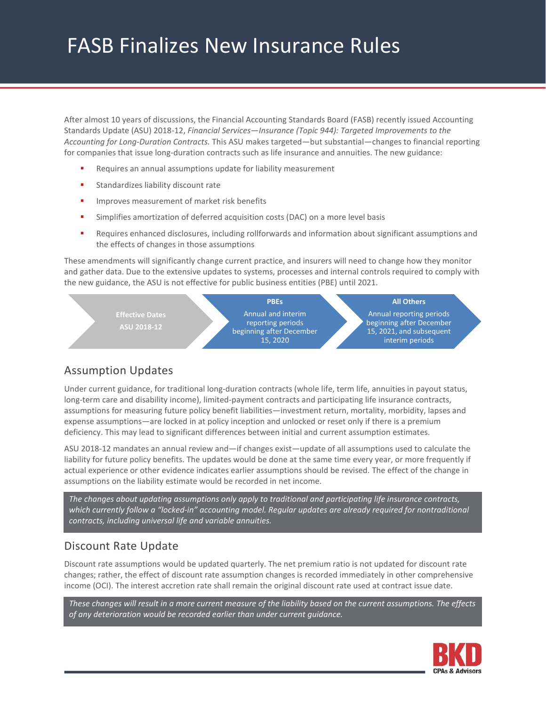# FASB Finalizes New Insurance Rules

After almost 10 years of discussions, the Financial Accounting Standards Board (FASB) recently issued Accounting Standards Update (ASU) 2018-12, *Financial Services—Insurance (Topic 944): Targeted Improvements to the Accounting for Long-Duration Contracts.* This ASU makes targeted—but substantial—changes to financial reporting for companies that issue long-duration contracts such as life insurance and annuities. The new guidance:

- Requires an annual assumptions update for liability measurement
- **Standardizes liability discount rate**
- **IMPROVES measurement of market risk benefits**
- Simplifies amortization of deferred acquisition costs (DAC) on a more level basis
- **Requires enhanced disclosures, including rollforwards and information about significant assumptions and** the effects of changes in those assumptions

These amendments will significantly change current practice, and insurers will need to change how they monitor and gather data. Due to the extensive updates to systems, processes and internal controls required to comply with the new guidance, the ASU is not effective for public business entities (PBE) until 2021.



## Assumption Updates

Under current guidance, for traditional long-duration contracts (whole life, term life, annuities in payout status, long-term care and disability income), limited-payment contracts and participating life insurance contracts, assumptions for measuring future policy benefit liabilities—investment return, mortality, morbidity, lapses and expense assumptions—are locked in at policy inception and unlocked or reset only if there is a premium deficiency. This may lead to significant differences between initial and current assumption estimates.

ASU 2018-12 mandates an annual review and—if changes exist—update of all assumptions used to calculate the liability for future policy benefits. The updates would be done at the same time every year, or more frequently if actual experience or other evidence indicates earlier assumptions should be revised. The effect of the change in assumptions on the liability estimate would be recorded in net income.

*The changes about updating assumptions only apply to traditional and participating life insurance contracts,*  which currently follow a "locked-in" accounting model. Regular updates are already required for nontraditional *contracts, including universal life and variable annuities.* 

#### Discount Rate Update

Discount rate assumptions would be updated quarterly. The net premium ratio is not updated for discount rate changes; rather, the effect of discount rate assumption changes is recorded immediately in other comprehensive income (OCI). The interest accretion rate shall remain the original discount rate used at contract issue date.

*These changes will result in a more current measure of the liability based on the current assumptions. The effects of any deterioration would be recorded earlier than under current guidance.* 

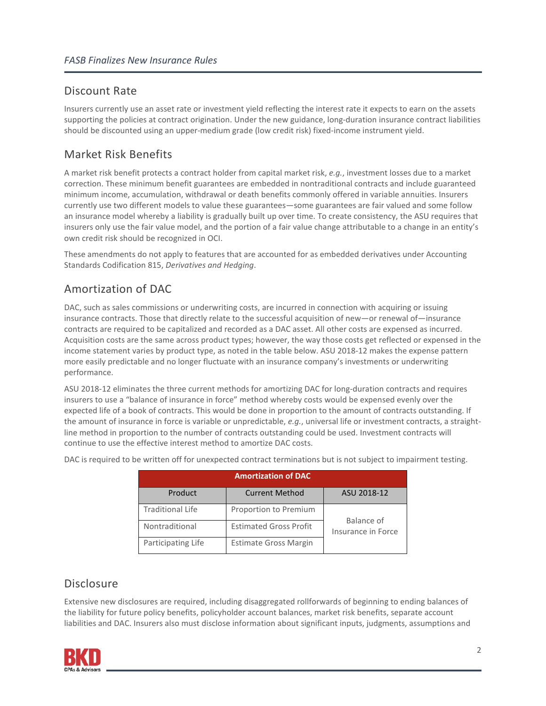### Discount Rate

Insurers currently use an asset rate or investment yield reflecting the interest rate it expects to earn on the assets supporting the policies at contract origination. Under the new guidance, long-duration insurance contract liabilities should be discounted using an upper-medium grade (low credit risk) fixed-income instrument yield.

# Market Risk Benefits

A market risk benefit protects a contract holder from capital market risk, *e.g.*, investment losses due to a market correction. These minimum benefit guarantees are embedded in nontraditional contracts and include guaranteed minimum income, accumulation, withdrawal or death benefits commonly offered in variable annuities. Insurers currently use two different models to value these guarantees—some guarantees are fair valued and some follow an insurance model whereby a liability is gradually built up over time. To create consistency, the ASU requires that insurers only use the fair value model, and the portion of a fair value change attributable to a change in an entity's own credit risk should be recognized in OCI.

These amendments do not apply to features that are accounted for as embedded derivatives under Accounting Standards Codification 815, *Derivatives and Hedging*.

# Amortization of DAC

DAC, such as sales commissions or underwriting costs, are incurred in connection with acquiring or issuing insurance contracts. Those that directly relate to the successful acquisition of new—or renewal of—insurance contracts are required to be capitalized and recorded as a DAC asset. All other costs are expensed as incurred. Acquisition costs are the same across product types; however, the way those costs get reflected or expensed in the income statement varies by product type, as noted in the table below. ASU 2018-12 makes the expense pattern more easily predictable and no longer fluctuate with an insurance company's investments or underwriting performance.

ASU 2018-12 eliminates the three current methods for amortizing DAC for long-duration contracts and requires insurers to use a "balance of insurance in force" method whereby costs would be expensed evenly over the expected life of a book of contracts. This would be done in proportion to the amount of contracts outstanding. If the amount of insurance in force is variable or unpredictable, *e.g.*, universal life or investment contracts, a straightline method in proportion to the number of contracts outstanding could be used. Investment contracts will continue to use the effective interest method to amortize DAC costs.

| <b>Amortization of DAC</b> |                               |                                  |
|----------------------------|-------------------------------|----------------------------------|
| Product                    | <b>Current Method</b>         | ASU 2018-12                      |
| <b>Traditional Life</b>    | Proportion to Premium         | Balance of<br>Insurance in Force |
| Nontraditional             | <b>Estimated Gross Profit</b> |                                  |
| Participating Life         | <b>Estimate Gross Margin</b>  |                                  |

DAC is required to be written off for unexpected contract terminations but is not subject to impairment testing.

#### **Disclosure**

Extensive new disclosures are required, including disaggregated rollforwards of beginning to ending balances of the liability for future policy benefits, policyholder account balances, market risk benefits, separate account liabilities and DAC. Insurers also must disclose information about significant inputs, judgments, assumptions and